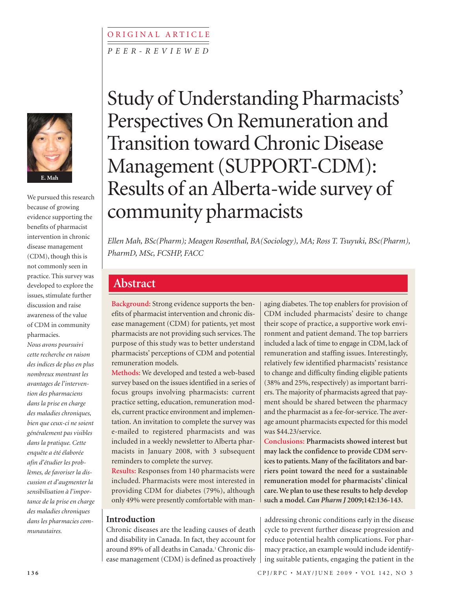# *P E E R - R E V I E W E D* ORIGINAL ARTICLE



We pursued this research because of growing evidence supporting the benefits of pharmacist intervention in chronic disease management (CDM), though this is not commonly seen in practice. This survey was developed to explore the issues, stimulate further discussion and raise awareness of the value of CDM in community pharmacies.

*Nous avons poursuivi cette recherche en raison des indices de plus en plus nombreux montrant les avantages de l'intervention des pharmaciens dans la prise en charge des maladies chroniques, bien que ceux-ci ne soient généralement pas visibles dans la pratique. Cette enquête a été élaborée afin d'étudier les problèmes, de favoriser la discussion et d'augmenter la sensibilisation à l'importance de la prise en charge des maladies chroniques dans les pharmacies communautaires.*

# Study of Understanding Pharmacists' Perspectives On Remuneration and Transition toward Chronic Disease Management (SUPPORT-CDM): Results of an Alberta-wide survey of community pharmacists

*Ellen Mah, BSc(Pharm); Meagen Rosenthal, BA(Sociology), MA; Ross T. Tsuyuki, BSc(Pharm), PharmD, MSc, FCSHP, FACC*

# **Abstract**

**Background:** Strong evidence supports the benefits of pharmacist intervention and chronic disease management (CDM) for patients, yet most pharmacists are not providing such services. The purpose of this study was to better understand pharmacists' perceptions of CDM and potential remuneration models.

**Methods:** We developed and tested a web-based survey based on the issues identified in a series of focus groups involving pharmacists: current practice setting, education, remuneration models, current practice environment and implementation. An invitation to complete the survey was e-mailed to registered pharmacists and was included in a weekly newsletter to Alberta pharmacists in January 2008, with 3 subsequent reminders to complete the survey.

**Results:** Responses from 140 pharmacists were included. Pharmacists were most interested in providing CDM for diabetes (79%), although only 49% were presently comfortable with man-

## **Introduction**

Chronic diseases are the leading causes of death and disability in Canada. In fact, they account for around 89% of all deaths in Canada.<sup>1</sup> Chronic disease management (CDM) is defined as proactively aging diabetes. The top enablers for provision of CDM included pharmacists' desire to change their scope of practice, a supportive work environment and patient demand. The top barriers included a lack of time to engage in CDM, lack of remuneration and staffing issues. Interestingly, relatively few identified pharmacists' resistance to change and difficulty finding eligible patients (38% and 25%, respectively) as important barriers. The majority of pharmacists agreed that payment should be shared between the pharmacy and the pharmacist as a fee-for-service. The average amount pharmacists expected for this model was \$44.23/service.

**Conclusions: Pharmacists showed interest but may lack the confidence to provide CDM services to patients. Many of the facilitators and barriers point toward the need for a sustainable remuneration model for pharmacists' clinical care. We plan to use these results to help develop such a model.** *Can Pharm J* **2009;142:136-143.**

addressing chronic conditions early in the disease cycle to prevent further disease progression and reduce potential health complications. For pharmacy practice, an example would include identifying suitable patients, engaging the patient in the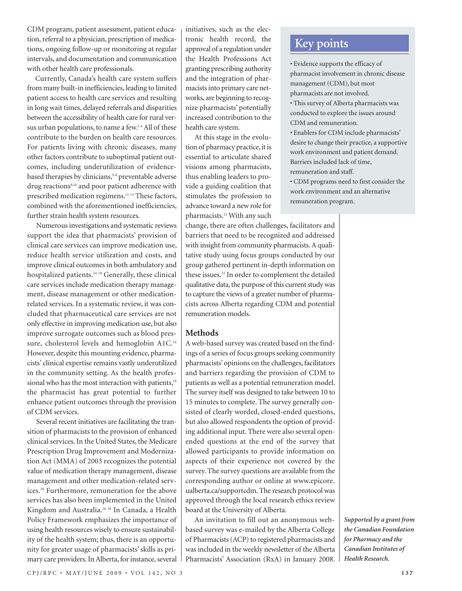CDM program, patient assessment, patient education, referral to a physician, prescription of medications, ongoing follow-up or monitoring at regular intervals, and documentation and communication with other health care professionals.

Currently, Canada's health care system suffers from many built-in inefficiencies, leading to limited patient access to health care services and resulting in long wait times, delayed referrals and disparities between the accessibility of health care for rural versus urban populations, to name a few.<sup>2-4</sup> All of these contribute to the burden on health care resources. For patients living with chronic diseases, many other factors contribute to suboptimal patient outcomes, including underutilization of evidencebased therapies by clinicians,<sup>5-8</sup> preventable adverse drug reactions<sup>9,10</sup> and poor patient adherence with prescribed medication regimens.11-13 These factors, combined with the aforementioned inefficiencies, further strain health system resources.

Numerous investigations and systematic reviews support the idea that pharmacists' provision of clinical care services can improve medication use, reduce health service utilization and costs, and improve clinical outcomes in both ambulatory and hospitalized patients.<sup>14-18</sup> Generally, these clinical care services include medication therapy management, disease management or other medicationrelated services. In a systematic review, it was concluded that pharmaceutical care services are not only effective in improving medication use, but also improve surrogate outcomes such as blood pressure, cholesterol levels and hemoglobin A1C.<sup>14</sup> However, despite this mounting evidence, pharmacists' clinical expertise remains vastly underutilized in the community setting. As the health professional who has the most interaction with patients,<sup>19</sup> the pharmacist has great potential to further enhance patient outcomes through the provision of CDM services.

Several recent initiatives are facilitating the transition of pharmacists to the provision of enhanced clinical services. In the United States, the Medicare Prescription Drug Improvement and Modernization Act (MMA) of 2003 recognizes the potential value of medication therapy management, disease management and other medication-related services.20 Furthermore, remuneration for the above services has also been implemented in the United Kingdom and Australia.16-18 In Canada, a Health Policy Framework emphasizes the importance of using health resources wisely to ensure sustainability of the health system; thus, there is an opportunity for greater usage of pharmacists' skills as primary care providers. In Alberta, for instance, several

initiatives, such as the electronic health record, the approval of a regulation under the Health Professions Act granting prescribing authority and the integration of pharmacists into primary care networks, are beginning to recognize pharmacists' potentially increased contribution to the health care system.

At this stage in the evolution of pharmacy practice, it is essential to articulate shared visions among pharmacists, thus enabling leaders to provide a guiding coalition that stimulates the profession to advance toward a new role for pharmacists.21 With any such

change, there are often challenges, facilitators and barriers that need to be recognized and addressed with insight from community pharmacists. A qualitative study using focus groups conducted by our group gathered pertinent in-depth information on these issues.<sup>22</sup> In order to complement the detailed qualitative data, the purpose of this current study was to capture the views of a greater number of pharmacists across Alberta regarding CDM and potential remuneration models.

## **Methods**

A web-based survey was created based on the findings of a series of focus groups seeking community pharmacists' opinions on the challenges, facilitators and barriers regarding the provision of CDM to patients as well as a potential remuneration model. The survey itself was designed to take between 10 to 15 minutes to complete. The survey generally consisted of clearly worded, closed-ended questions, but also allowed respondents the option of providing additional input. There were also several openended questions at the end of the survey that allowed participants to provide information on aspects of their experience not covered by the survey. The survey questions are available from the corresponding author or online at www.epicore. ualberta.ca/supportcdm. The research protocol was approved through the local research ethics review board at the University of Alberta.

An invitation to fill out an anonymous webbased survey was e-mailed by the Alberta College of Pharmacists (ACP) to registered pharmacists and was included in the weekly newsletter of the Alberta Pharmacists' Association (RxA) in January 2008.

*Supported by a grant from the Canadian Foundation for Pharmacy and the Canadian Institutes of Health Research.*

# **Key points**

- Evidence supports the efficacy of pharmacist involvement in chronic disease management (CDM), but most pharmacists are not involved.
- This survey of Alberta pharmacists was conducted to explore the issues around CDM and remuneration.
- Enablers for CDM include pharmacists' desire to change their practice, a supportive work environment and patient demand. Barriers included lack of time, remuneration and staff.
- CDM programs need to first consider the work environment and an alternative remuneration program.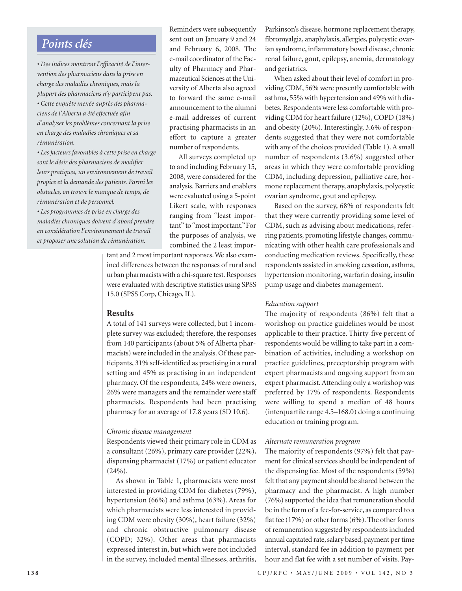# *Points clés*

*• Des indices montrent l'efficacité de l'intervention des pharmaciens dans la prise en charge des maladies chroniques, mais la plupart des pharmaciens n'y participent pas. • Cette enquête menée auprès des pharmaciens de l'Alberta a été effectuée afin d'analyser les problèmes concernant la prise en charge des maladies chroniques et sa rémunération.* 

*• Les facteurs favorables à cette prise en charge sont le désir des pharmaciens de modifier leurs pratiques, un environnement de travail propice et la demande des patients. Parmi les obstacles, on trouve le manque de temps, de rémunération et de personnel.*

*• Les programmes de prise en charge des maladies chroniques doivent d'abord prendre en considération l'environnement de travail et proposer une solution de rémunération.*

Reminders were subsequently sent out on January 9 and 24 and February 6, 2008. The e-mail coordinator of the Faculty of Pharmacy and Pharmaceutical Sciences at the University of Alberta also agreed to forward the same e-mail announcement to the alumni e-mail addresses of current practising pharmacists in an effort to capture a greater number of respondents.

All surveys completed up to and including February 15, 2008, were considered for the analysis. Barriers and enablers were evaluated using a 5-point Likert scale, with responses ranging from "least important" to "most important." For the purposes of analysis, we combined the 2 least impor-

tant and 2 most important responses. We also examined differences between the responses of rural and urban pharmacists with a chi-square test. Responses were evaluated with descriptive statistics using SPSS 15.0 (SPSS Corp, Chicago, IL).

#### **Results**

A total of 141 surveys were collected, but 1 incomplete survey was excluded; therefore, the responses from 140 participants (about 5% of Alberta pharmacists) were included in the analysis. Of these participants, 31% self-identified as practising in a rural setting and 45% as practising in an independent pharmacy. Of the respondents, 24% were owners, 26% were managers and the remainder were staff pharmacists. Respondents had been practising pharmacy for an average of 17.8 years (SD 10.6).

#### *Chronic disease management*

Respondents viewed their primary role in CDM as a consultant (26%), primary care provider (22%), dispensing pharmacist (17%) or patient educator  $(24\%)$ .

As shown in Table 1, pharmacists were most interested in providing CDM for diabetes (79%), hypertension (66%) and asthma (63%). Areas for which pharmacists were less interested in providing CDM were obesity (30%), heart failure (32%) and chronic obstructive pulmonary disease (COPD; 32%). Other areas that pharmacists expressed interest in, but which were not included in the survey, included mental illnesses, arthritis, Parkinson's disease, hormone replacement therapy, fibromyalgia, anaphylaxis, allergies, polycystic ovarian syndrome, inflammatory bowel disease, chronic renal failure, gout, epilepsy, anemia, dermatology and geriatrics.

When asked about their level of comfort in providing CDM, 56% were presently comfortable with asthma, 55% with hypertension and 49% with diabetes. Respondents were less comfortable with providing CDM for heart failure (12%), COPD (18%) and obesity (20%). Interestingly, 3.6% of respondents suggested that they were not comfortable with any of the choices provided (Table 1). A small number of respondents (3.6%) suggested other areas in which they were comfortable providing CDM, including depression, palliative care, hormone replacement therapy, anaphylaxis, polycystic ovarian syndrome, gout and epilepsy.

Based on the survey, 68% of respondents felt that they were currently providing some level of CDM, such as advising about medications, referring patients, promoting lifestyle changes, communicating with other health care professionals and conducting medication reviews. Specifically, these respondents assisted in smoking cessation, asthma, hypertension monitoring, warfarin dosing, insulin pump usage and diabetes management.

#### *Education support*

The majority of respondents (86%) felt that a workshop on practice guidelines would be most applicable to their practice. Thirty-five percent of respondents would be willing to take part in a combination of activities, including a workshop on practice guidelines, preceptorship program with expert pharmacists and ongoing support from an expert pharmacist. Attending only a workshop was preferred by 17% of respondents. Respondents were willing to spend a median of 48 hours (interquartile range 4.5–168.0) doing a continuing education or training program.

#### *Alternate remuneration program*

The majority of respondents (97%) felt that payment for clinical services should be independent of the dispensing fee. Most of the respondents (59%) felt that any payment should be shared between the pharmacy and the pharmacist. A high number (76%) supported the idea that remuneration should be in the form of a fee-for-service, as compared to a flat fee (17%) or other forms (6%). The other forms of remuneration suggested by respondents included annual capitated rate, salary based, payment per time interval, standard fee in addition to payment per hour and flat fee with a set number of visits. Pay-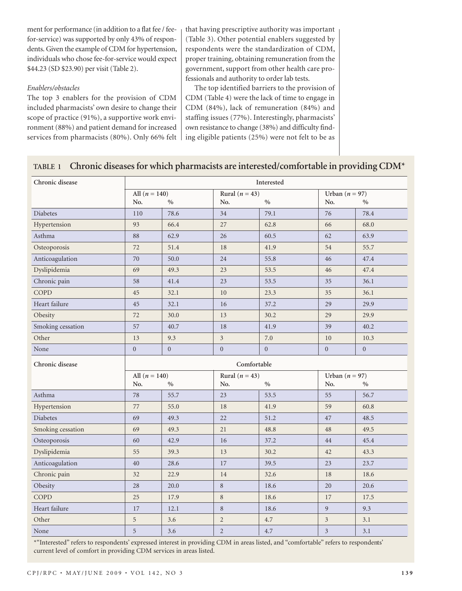ment for performance (in addition to a flat fee / feefor-service) was supported by only 43% of respondents. Given the example of CDM for hypertension, individuals who chose fee-for-service would expect \$44.23 (SD \$23.90) per visit (Table 2).

#### *Enablers/obstacles*

The top 3 enablers for the provision of CDM included pharmacists' own desire to change their scope of practice (91%), a supportive work environment (88%) and patient demand for increased services from pharmacists (80%). Only 66% felt

that having prescriptive authority was important (Table 3). Other potential enablers suggested by respondents were the standardization of CDM, proper training, obtaining remuneration from the government, support from other health care professionals and authority to order lab tests.

The top identified barriers to the provision of CDM (Table 4) were the lack of time to engage in CDM (84%), lack of remuneration (84%) and staffing issues (77%). Interestingly, pharmacists' own resistance to change (38%) and difficulty finding eligible patients (25%) were not felt to be as

# **TABLE 1 Chronic diseases for which pharmacists are interested/comfortable in providing CDM\***

| Chronic disease   | Interested                            |                  |                  |                  |                             |              |
|-------------------|---------------------------------------|------------------|------------------|------------------|-----------------------------|--------------|
|                   | All $(n = 140)$<br>Rural ( $n = 43$ ) |                  |                  | Urban $(n = 97)$ |                             |              |
|                   | No.                                   | $\%$             | No.              | $\%$             | No.                         | $\%$         |
| <b>Diabetes</b>   | 110                                   | 78.6             | 34               | 79.1             | 76                          | 78.4         |
| Hypertension      | 93                                    | 66.4             | 27               | 62.8             | 66                          | 68.0         |
| Asthma            | 88                                    | 62.9             | 26               | 60.5             | 62                          | 63.9         |
| Osteoporosis      | 72                                    | 51.4             | 18               | 41.9             | 54                          | 55.7         |
| Anticoagulation   | 70                                    | 50.0             | 24               | 55.8             | 46                          | 47.4         |
| Dyslipidemia      | 69                                    | 49.3             | 23               | 53.5             | 46                          | 47.4         |
| Chronic pain      | 58                                    | 41.4             | 23               | 53.5             | 35                          | 36.1         |
| COPD              | 45                                    | 32.1             | 10               | 23.3             | 35                          | 36.1         |
| Heart failure     | 45                                    | 32.1             | 16               | 37.2             | 29                          | 29.9         |
| Obesity           | 72                                    | 30.0             | 13               | 30.2             | 29                          | 29.9         |
| Smoking cessation | 57                                    | 40.7             | 18               | 41.9             | 39                          | 40.2         |
| Other             | 13                                    | 9.3              | $\overline{3}$   | 7.0              | 10                          | 10.3         |
| None              | $\boldsymbol{0}$                      | $\boldsymbol{0}$ | $\boldsymbol{0}$ | $\boldsymbol{0}$ | $\boldsymbol{0}$            | $\mathbf{0}$ |
|                   | Comfortable                           |                  |                  |                  |                             |              |
| Chronic disease   |                                       |                  |                  |                  |                             |              |
|                   | All $(n = 140)$                       |                  | Rural $(n = 43)$ |                  | Urban $(n = 97)$            |              |
|                   | No.                                   | $\%$             | No.              | $\%$             | No.                         | $\%$         |
| Asthma            | 78                                    | 55.7             | 23               | 53.5             | 55                          | 56.7         |
| Hypertension      | 77                                    | 55.0             | 18               | 41.9             | 59                          | 60.8         |
| <b>Diabetes</b>   | 69                                    | 49.3             | 22               | 51.2             | 47                          | 48.5         |
| Smoking cessation | 69                                    | 49.3             | 21               | 48.8             | 48                          | 49.5         |
| Osteoporosis      | 60                                    | 42.9             | 16               | 37.2             | 44                          | 45.4         |
| Dyslipidemia      | 55                                    | 39.3             | 13               | 30.2             | 42                          | 43.3         |
| Anticoagulation   | 40                                    | 28.6             | 17               | 39.5             | 23                          | 23.7         |
| Chronic pain      | 32                                    | 22.9             | 14               | 32.6             | 18                          | 18.6         |
| Obesity           | 28                                    | 20.0             | 8                | 18.6             | 20                          | 20.6         |
| COPD              | 25                                    | 17.9             | $\,8\,$          | 18.6             | 17                          | 17.5         |
| Heart failure     | 17                                    | 12.1             | 8                | 18.6             | $\mathfrak{g}$              | 9.3          |
| Other             | 5                                     | 3.6              | $\sqrt{2}$       | 4.7              | $\ensuremath{\mathfrak{Z}}$ | 3.1          |

\*"Interested" refers to respondents' expressed interest in providing CDM in areas listed, and "comfortable" refers to respondents' current level of comfort in providing CDM services in areas listed.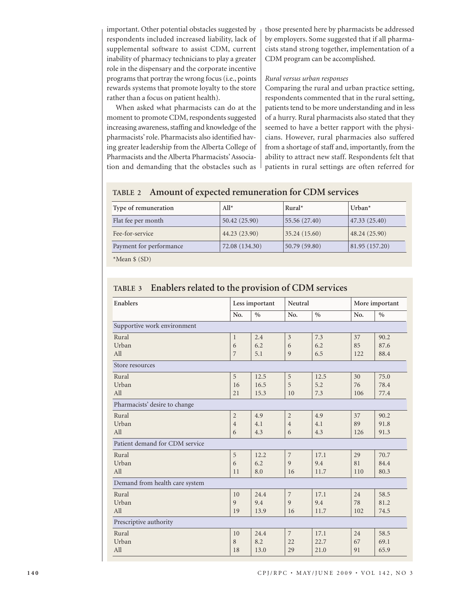important. Other potential obstacles suggested by respondents included increased liability, lack of supplemental software to assist CDM, current inability of pharmacy technicians to play a greater role in the dispensary and the corporate incentive programs that portray the wrong focus (i.e., points rewards systems that promote loyalty to the store rather than a focus on patient health).

When asked what pharmacists can do at the moment to promote CDM, respondents suggested increasing awareness, staffing and knowledge of the pharmacists' role. Pharmacists also identified having greater leadership from the Alberta College of Pharmacists and the Alberta Pharmacists' Association and demanding that the obstacles such as those presented here by pharmacists be addressed by employers. Some suggested that if all pharmacists stand strong together, implementation of a CDM program can be accomplished.

#### *Rural versus urban responses*

Comparing the rural and urban practice setting, respondents commented that in the rural setting, patients tend to be more understanding and in less of a hurry. Rural pharmacists also stated that they seemed to have a better rapport with the physicians. However, rural pharmacies also suffered from a shortage of staff and, importantly, from the ability to attract new staff. Respondents felt that patients in rural settings are often referred for

# **TABLE 2 Amount of expected remuneration for CDM services**

| 50.42 (25.90)  | 47.33(25.40)                                  |
|----------------|-----------------------------------------------|
| 44.23 (23.90)  | 48.24 (25.90)                                 |
| 72.08 (134.30) | 81.95(157.20)                                 |
|                | 55.56(27.40)<br>35.24(15.60)<br>50.79 (59.80) |

\*Mean \$ (SD)

| Enablers                       |                | Neutral<br>Less important |                |      | More important |      |
|--------------------------------|----------------|---------------------------|----------------|------|----------------|------|
|                                | No.            | $\frac{0}{0}$             | No.            | $\%$ | No.            | $\%$ |
| Supportive work environment    |                |                           |                |      |                |      |
| Rural                          | $\mathbf{1}$   | 2.4                       | $\overline{3}$ | 7.3  | 37             | 90.2 |
| Urban                          | 6              | 6.2                       | 6              | 6.2  | 85             | 87.6 |
| All                            | 7              | 5.1                       | 9              | 6.5  | 122            | 88.4 |
| Store resources                |                |                           |                |      |                |      |
| Rural                          | 5              | 12.5                      | 5              | 12.5 | 30             | 75.0 |
| Urban                          | 16             | 16.5                      | 5              | 5.2  | 76             | 78.4 |
| All                            | 21             | 15.3                      | 10             | 7.3  | 106            | 77.4 |
| Pharmacists' desire to change  |                |                           |                |      |                |      |
| Rural                          | $\overline{2}$ | 4.9                       | $\overline{2}$ | 4.9  | 37             | 90.2 |
| Urban                          | $\overline{4}$ | 4.1                       | $\overline{4}$ | 4.1  | 89             | 91.8 |
| All                            | 6              | 4.3                       | 6              | 4.3  | 126            | 91.3 |
| Patient demand for CDM service |                |                           |                |      |                |      |
| Rural                          | 5              | 12.2                      | 7              | 17.1 | 29             | 70.7 |
| Urban                          | 6              | 6.2                       | 9              | 9.4  | 81             | 84.4 |
| All                            | 11             | 8.0                       | 16             | 11.7 | 110            | 80.3 |
| Demand from health care system |                |                           |                |      |                |      |
| Rural                          | 10             | 24.4                      | $\overline{7}$ | 17.1 | 24             | 58.5 |
| Urban                          | 9              | 9.4                       | 9              | 9.4  | 78             | 81.2 |
| All                            | 19             | 13.9                      | 16             | 11.7 | 102            | 74.5 |
| Prescriptive authority         |                |                           |                |      |                |      |
| Rural                          | 10             | 24.4                      | $\overline{7}$ | 17.1 | 24             | 58.5 |
| Urban                          | 8              | 8.2                       | 22             | 22.7 | 67             | 69.1 |
| All                            | 18             | 13.0                      | 29             | 21.0 | 91             | 65.9 |

# **TABLE 3 Enablers related to the provision of CDM services**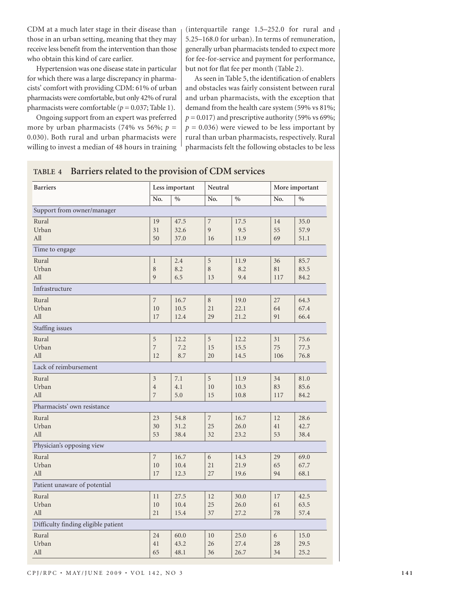CDM at a much later stage in their disease than those in an urban setting, meaning that they may receive less benefit from the intervention than those who obtain this kind of care earlier.

Hypertension was one disease state in particular for which there was a large discrepancy in pharmacists' comfort with providing CDM: 61% of urban pharmacists were comfortable, but only 42% of rural pharmacists were comfortable  $(p = 0.037;$  Table 1).

Ongoing support from an expert was preferred more by urban pharmacists (74% vs 56%;  $p =$ 0.030). Both rural and urban pharmacists were willing to invest a median of 48 hours in training

(interquartile range 1.5–252.0 for rural and 5.25–168.0 for urban). In terms of remuneration, generally urban pharmacists tended to expect more for fee-for-service and payment for performance, but not for flat fee per month (Table 2).

As seen in Table 5, the identification of enablers and obstacles was fairly consistent between rural and urban pharmacists, with the exception that demand from the health care system (59% vs 81%;  $p = 0.017$ ) and prescriptive authority (59% vs 69%;  $p = 0.036$ ) were viewed to be less important by rural than urban pharmacists, respectively. Rural pharmacists felt the following obstacles to be less

| $\frac{1}{2}$                       |                          |               |                |               |                |               |
|-------------------------------------|--------------------------|---------------|----------------|---------------|----------------|---------------|
| <b>Barriers</b>                     | Less important           |               | Neutral        |               | More important |               |
|                                     | No.                      | $\frac{0}{0}$ | No.            | $\frac{0}{0}$ | No.            | $\frac{0}{0}$ |
| Support from owner/manager          |                          |               |                |               |                |               |
| Rural                               | 19                       | 47.5          | $\overline{7}$ | 17.5          | 14             | 35.0          |
| Urban                               | 31                       | 32.6          | 9              | 9.5           | 55             | 57.9          |
| All                                 | 50                       | 37.0          | 16             | 11.9          | 69             | 51.1          |
| Time to engage                      |                          |               |                |               |                |               |
| Rural                               | $\mathbf{1}$             | 2.4           | $\mathbf 5$    | 11.9          | 36             | 85.7          |
| Urban                               | $\,8\,$                  | 8.2           | 8              | 8.2           | 81             | 83.5          |
| All                                 | 9                        | 6.5           | 13             | 9.4           | 117            | 84.2          |
| Infrastructure                      |                          |               |                |               |                |               |
| Rural                               | $\overline{\phantom{a}}$ | 16.7          | 8              | 19.0          | 27             | 64.3          |
| Urban                               | 10                       | 10.5          | 21             | 22.1          | 64             | 67.4          |
| All                                 | 17                       | 12.4          | 29             | 21.2          | 91             | 66.4          |
| Staffing issues                     |                          |               |                |               |                |               |
| Rural                               | $\mathbf 5$              | 12.2          | 5              | 12.2          | 31             | 75.6          |
| Urban                               | $\overline{7}$           | 7.2           | 15             | 15.5          | 75             | 77.3          |
| All                                 | 12                       | 8.7           | 20             | 14.5          | 106            | 76.8          |
| Lack of reimbursement               |                          |               |                |               |                |               |
| Rural                               | $\mathfrak{Z}$           | 7.1           | 5              | 11.9          | 34             | 81.0          |
| Urban                               | $\overline{4}$           | 4.1           | 10             | 10.3          | 83             | 85.6          |
| All                                 | 7                        | 5.0           | 15             | 10.8          | 117            | 84.2          |
| Pharmacists' own resistance         |                          |               |                |               |                |               |
| Rural                               | 23                       | 54.8          | $\overline{7}$ | 16.7          | 12             | 28.6          |
| Urban                               | 30                       | 31.2          | 25             | 26.0          | 41             | 42.7          |
| All                                 | 53                       | 38.4          | 32             | 23.2          | 53             | 38.4          |
| Physician's opposing view           |                          |               |                |               |                |               |
| Rural                               | $\overline{7}$           | 16.7          | $\overline{6}$ | 14.3          | 29             | 69.0          |
| Urban                               | 10                       | 10.4          | 21             | 21.9          | 65             | 67.7          |
| All                                 | 17                       | 12.3          | 27             | 19.6          | 94             | 68.1          |
| Patient unaware of potential        |                          |               |                |               |                |               |
| Rural                               | 11                       | 27.5          | 12             | 30.0          | 17             | 42.5          |
| Urban                               | 10                       | 10.4          | 25             | 26.0          | 61             | 63.5          |
| All                                 | 21                       | 15.4          | 37             | 27.2          | 78             | 57.4          |
| Difficulty finding eligible patient |                          |               |                |               |                |               |
| Rural                               | 24                       | 60.0          | 10             | 25.0          | 6              | 15.0          |
| Urban                               | 41                       | 43.2          | 26             | 27.4          | 28             | 29.5          |
| All                                 | 65                       | 48.1          | 36             | 26.7          | 34             | 25.2          |
|                                     |                          |               |                |               |                |               |

## **TABLE 4 Barriers related to the provision of CDM services**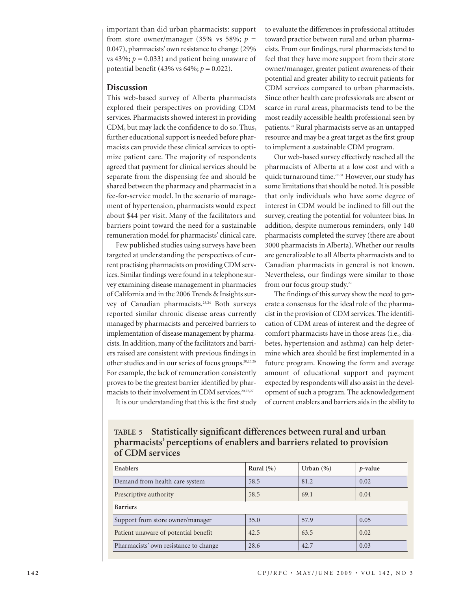important than did urban pharmacists: support from store owner/manager (35% vs 58%;  $p =$ 0.047), pharmacists' own resistance to change (29% vs 43%;  $p = 0.033$ ) and patient being unaware of potential benefit (43% vs 64%; *p* = 0.022).

## **Discussion**

This web-based survey of Alberta pharmacists explored their perspectives on providing CDM services. Pharmacists showed interest in providing CDM, but may lack the confidence to do so. Thus, further educational support is needed before pharmacists can provide these clinical services to optimize patient care. The majority of respondents agreed that payment for clinical services should be separate from the dispensing fee and should be shared between the pharmacy and pharmacist in a fee-for-service model. In the scenario of management of hypertension, pharmacists would expect about \$44 per visit. Many of the facilitators and barriers point toward the need for a sustainable remuneration model for pharmacists' clinical care.

Few published studies using surveys have been targeted at understanding the perspectives of current practising pharmacists on providing CDM services. Similar findings were found in a telephone survey examining disease management in pharmacies of California and in the 2006 Trends & Insights survey of Canadian pharmacists.23,24 Both surveys reported similar chronic disease areas currently managed by pharmacists and perceived barriers to implementation of disease management by pharmacists. In addition, many of the facilitators and barriers raised are consistent with previous findings in other studies and in our series of focus groups.20,25,26 For example, the lack of remuneration consistently proves to be the greatest barrier identified by pharmacists to their involvement in CDM services.<sup>20,22,27</sup>

to evaluate the differences in professional attitudes toward practice between rural and urban pharmacists. From our findings, rural pharmacists tend to feel that they have more support from their store owner/manager, greater patient awareness of their potential and greater ability to recruit patients for CDM services compared to urban pharmacists. Since other health care professionals are absent or scarce in rural areas, pharmacists tend to be the most readily accessible health professional seen by patients.28 Rural pharmacists serve as an untapped resource and may be a great target as the first group to implement a sustainable CDM program.

Our web-based survey effectively reached all the pharmacists of Alberta at a low cost and with a quick turnaround time.<sup>29-31</sup> However, our study has some limitations that should be noted. It is possible that only individuals who have some degree of interest in CDM would be inclined to fill out the survey, creating the potential for volunteer bias. In addition, despite numerous reminders, only 140 pharmacists completed the survey (there are about 3000 pharmacists in Alberta). Whether our results are generalizable to all Alberta pharmacists and to Canadian pharmacists in general is not known. Nevertheless, our findings were similar to those from our focus group study.<sup>22</sup>

The findings of this survey show the need to generate a consensus for the ideal role of the pharmacist in the provision of CDM services. The identification of CDM areas of interest and the degree of comfort pharmacists have in those areas (i.e., diabetes, hypertension and asthma) can help determine which area should be first implemented in a future program. Knowing the form and average amount of educational support and payment expected by respondents will also assist in the development of such a program. The acknowledgement of current enablers and barriers aids in the ability to

It is our understanding that this is the first study

|                 | TABLE 5 Statistically significant differences between rural and urban  |
|-----------------|------------------------------------------------------------------------|
|                 | pharmacists' perceptions of enablers and barriers related to provision |
| of CDM services |                                                                        |

| <b>Enablers</b>                       | Rural $(\% )$ | Urban $(\% )$ | $p$ -value |
|---------------------------------------|---------------|---------------|------------|
| Demand from health care system        | 58.5          | 81.2          | 0.02       |
| Prescriptive authority                | 58.5          | 69.1          | 0.04       |
| <b>Barriers</b>                       |               |               |            |
| Support from store owner/manager      | 35.0          | 57.9          | 0.05       |
| Patient unaware of potential benefit  | 42.5          | 63.5          | 0.02       |
| Pharmacists' own resistance to change | 28.6          | 42.7          | 0.03       |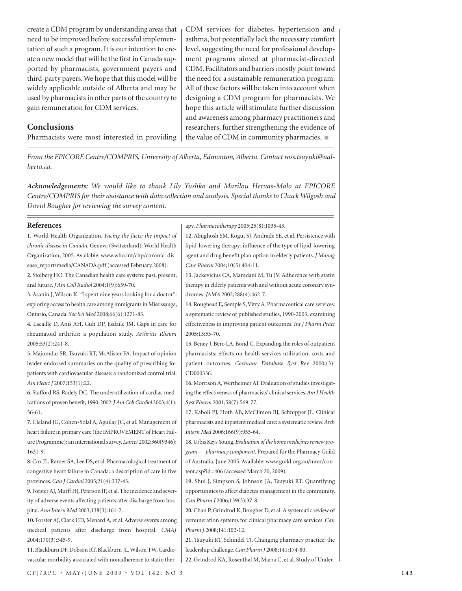create a CDM program by understanding areas that need to be improved before successful implementation of such a program. It is our intention to create a new model that will be the first in Canada supported by pharmacists, government payers and third-party payers. We hope that this model will be widely applicable outside of Alberta and may be used by pharmacists in other parts of the country to gain remuneration for CDM services.

## **Conclusions**

Pharmacists were most interested in providing

CDM services for diabetes, hypertension and asthma, but potentially lack the necessary comfort level, suggesting the need for professional development programs aimed at pharmacist-directed CDM. Facilitators and barriers mostly point toward the need for a sustainable remuneration program. All of these factors will be taken into account when designing a CDM program for pharmacists. We hope this article will stimulate further discussion and awareness among pharmacy practitioners and researchers, further strengthening the evidence of the value of CDM in community pharmacies. ■

*From the EPICORE Centre/COMPRIS, University of Alberta, Edmonton, Alberta. Contact ross.tsuyuki@ualberta.ca.*

*Acknowledgements: We would like to thank Lily Yushko and Marilou Hervas-Malo at EPICORE Centre/COMPRIS for their assistance with data collection and analysis. Special thanks to Chuck Wilgosh and David Bougher for reviewing the survey content.*

apy. *Pharmacotherapy* 2005;25(8):1035-43.

#### **References**

| 1. World Health Organization. Facing the facts: the impact of         | 12. Abughosh SM, Kogut SJ, Andrade SE, et al. Persistence with       |
|-----------------------------------------------------------------------|----------------------------------------------------------------------|
| chronic disease in Canada. Geneva (Switzerland): World Health         | lipid-lowering therapy: influence of the type of lipid-lowering      |
| Organization; 2005. Available: www.who.int/chp/chronic_dis-           | agent and drug benefit plan option in elderly patients. J Manag      |
| ease_report/media/CANADA.pdf (accessed February 2008).                | Care Pharm 2004;10(5):404-11.                                        |
| 2. Stolberg HO. The Canadian health care system: past, present,       | 13. Jackevicius CA, Mamdani M, Tu JV. Adherence with statin          |
| and future. J Am Coll Radiol 2004;1(9):659-70.                        | therapy in elderly patients with and without acute coronary syn-     |
| 3. Asanin J, Wilson K. "I spent nine years looking for a doctor":     | dromes. JAMA 2002;288(4):462-7.                                      |
| exploring access to health care among immigrants in Mississauga,      | 14. Roughead E, Semple S, Vitry A. Pharmaceutical care services:     |
| Ontario, Canada. Soc Sci Med 2008;66(6):1271-83.                      | a systematic review of published studies, 1990-2003, examining       |
| 4. Lacaille D, Anis AH, Guh DP, Esdaile JM. Gaps in care for          | effectiveness in improving patient outcomes. Int J Pharm Pract       |
| rheumatoid arthritis: a population study. Arthritis Rheum             | 2005;13:53-70.                                                       |
| 2005;53(2):241-8.                                                     | 15. Beney J, Bero LA, Bond C. Expanding the roles of outpatient      |
| 5. Majumdar SR, Tsuyuki RT, McAlister FA. Impact of opinion           | pharmacists: effects on health services utilization, costs and       |
| leader-endorsed summaries on the quality of prescribing for           | patient outcomes. Cochrane Database Syst Rev 2000;(3):               |
| patients with cardiovascular disease: a randomized control trial.     | CD000336.                                                            |
| Am Heart J 2007;153(1):22.                                            | 16. Morrison A, Wertheimer AI. Evaluation of studies investigat-     |
| 6. Stafford RS, Radely DC. The underutilization of cardiac med-       | ing the effectiveness of pharmacists' clinical services. Am J Health |
| ications of proven benefit, 1990-2002. J Am Coll Cardiol 2003;4(1):   | Syst Pharm 2001;58(7):569-77.                                        |
| $56-61.$                                                              | 17. Kaboli PJ, Hoth AB, McClimon BJ, Schnipper JL. Clinical          |
| 7. Cleland JG, Cohen-Solal A, Aguilar JC, et al. Management of        | pharmacists and inpatient medical care: a systematic review. Arch    |
| heart failure in primary care (the IMPROVEMENT of Heart Fail-         | Intern Med 2006;166(9):955-64.                                       |
| ure Programme): an international survey. Lancet 2002;360(9346):       | 18. Urbis Keys Young. Evaluation of the home medicines review pro-   |
| 1631-9.                                                               | gram — pharmacy component. Prepared for the Pharmacy Guild           |
| 8. Cox JL, Ramer SA, Lee DS, et al. Pharmacological treatment of      | of Australia. June 2005. Available: www.guild.org.au/mmr/con-        |
| congestive heart failure in Canada: a description of care in five     | tent.asp?id=406 (accessed March 20, 2009).                           |
| provinces. Can J Cardiol 2005;21(4):337-43.                           | 19. Shui J, Simpson S, Johnson JA, Tsuyuki RT. Quantifying           |
| 9. Forster AJ, Murff HJ, Peterson JF, et al. The incidence and sever- | opportunities to affect diabetes management in the community.        |
| ity of adverse events affecting patients after discharge from hos-    | Can Pharm J 2006;139(3):37-8.                                        |
| pital. Ann Intern Med 2003;138(3):161-7.                              | 20. Chan P, Grindrod K, Bougher D, et al. A systematic review of     |
| 10. Forster AJ, Clark HD, Menard A, et al. Adverse events among       | remuneration systems for clinical pharmacy care services. Can        |
| medical patients after discharge from hospital. CMAJ                  | Pharm J2008;141:102-12.                                              |
| 2004;170(3):345-9.                                                    | 21. Tsuyuki RT, Schindel TJ. Changing pharmacy practice: the         |
| 11. Blackburn DF, Dobson RT, Blackburn JL, Wilson TW. Cardio-         | leadership challenge. Can Pharm J 2008;141:174-80.                   |

vascular morbidity associated with nonadherence to statin ther-**22.** Grindrod KA, Rosenthal M, Marra C, et al. Study of Under-